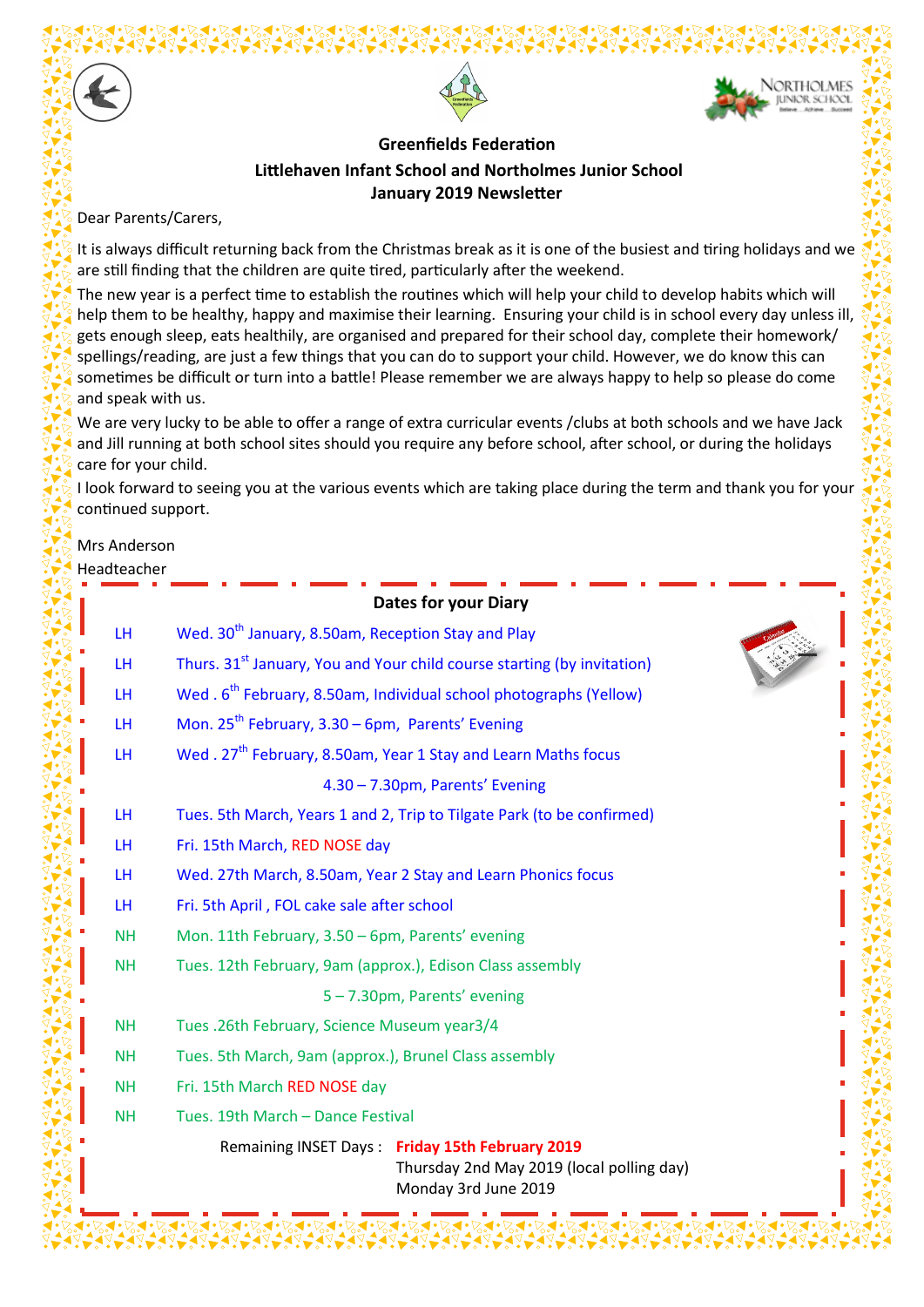



#### **Greenfields Federation Littlehaven Infant School and Northolmes Junior School January 2019 Newsletter**

Dear Parents/Carers,

It is always difficult returning back from the Christmas break as it is one of the busiest and tiring holidays and we are still finding that the children are quite tired, particularly after the weekend.

The new year is a perfect time to establish the routines which will help your child to develop habits which will help them to be healthy, happy and maximise their learning. Ensuring your child is in school every day unless ill, gets enough sleep, eats healthily, are organised and prepared for their school day, complete their homework/ spellings/reading, are just a few things that you can do to support your child. However, we do know this can sometimes be difficult or turn into a battle! Please remember we are always happy to help so please do come and speak with us.

We are very lucky to be able to offer a range of extra curricular events /clubs at both schools and we have Jack and Jill running at both school sites should you require any before school, after school, or during the holidays care for your child.

I look forward to seeing you at the various events which are taking place during the term and thank you for your continued support.

# Mrs Anderson

#### Headteacher

|           | <b>Dates for your Diary</b>                                                                                          |
|-----------|----------------------------------------------------------------------------------------------------------------------|
| LH.       | Wed. 30 <sup>th</sup> January, 8.50am, Reception Stay and Play                                                       |
| LH.       | Thurs. 31 <sup>st</sup> January, You and Your child course starting (by invitation)                                  |
| LН        | Wed. 6 <sup>th</sup> February, 8.50am, Individual school photographs (Yellow)                                        |
| <b>LH</b> | Mon. $25^{th}$ February, 3.30 – 6pm, Parents' Evening                                                                |
| <b>LH</b> | Wed. 27 <sup>th</sup> February, 8.50am, Year 1 Stay and Learn Maths focus                                            |
|           | 4.30 - 7.30pm, Parents' Evening                                                                                      |
| <b>LH</b> | Tues. 5th March, Years 1 and 2, Trip to Tilgate Park (to be confirmed)                                               |
| LН        | Fri. 15th March, RED NOSE day                                                                                        |
| <b>LH</b> | Wed. 27th March, 8.50am, Year 2 Stay and Learn Phonics focus                                                         |
| LH.       | Fri. 5th April, FOL cake sale after school                                                                           |
| <b>NH</b> | Mon. 11th February, 3.50 - 6pm, Parents' evening                                                                     |
| <b>NH</b> | Tues. 12th February, 9am (approx.), Edison Class assembly                                                            |
|           | 5-7.30pm, Parents' evening                                                                                           |
| <b>NH</b> | Tues .26th February, Science Museum year3/4                                                                          |
| <b>NH</b> | Tues. 5th March, 9am (approx.), Brunel Class assembly                                                                |
| <b>NH</b> | Fri. 15th March RED NOSE day                                                                                         |
| <b>NH</b> | Tues. 19th March - Dance Festival                                                                                    |
|           | Remaining INSET Days: Friday 15th February 2019<br>Thursday 2nd May 2019 (local polling day)<br>Monday 3rd June 2019 |